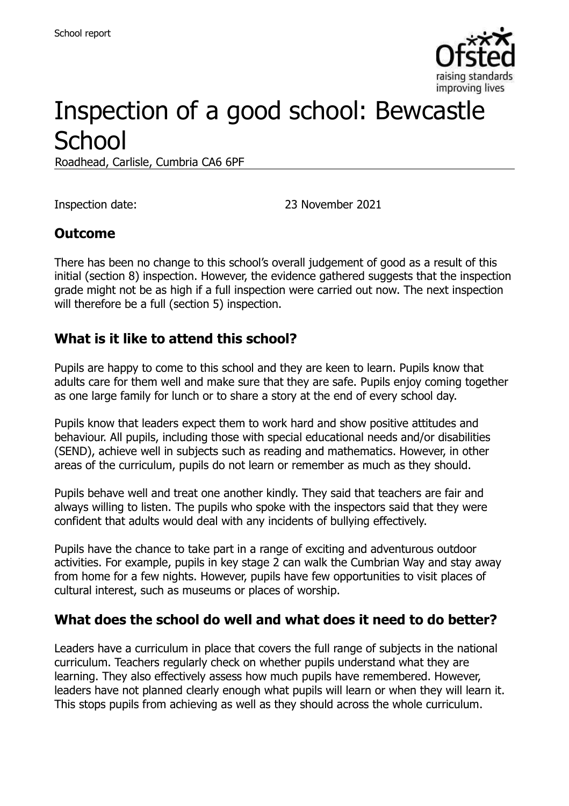

# Inspection of a good school: Bewcastle **School**

Roadhead, Carlisle, Cumbria CA6 6PF

Inspection date: 23 November 2021

#### **Outcome**

There has been no change to this school's overall judgement of good as a result of this initial (section 8) inspection. However, the evidence gathered suggests that the inspection grade might not be as high if a full inspection were carried out now. The next inspection will therefore be a full (section 5) inspection.

#### **What is it like to attend this school?**

Pupils are happy to come to this school and they are keen to learn. Pupils know that adults care for them well and make sure that they are safe. Pupils enjoy coming together as one large family for lunch or to share a story at the end of every school day.

Pupils know that leaders expect them to work hard and show positive attitudes and behaviour. All pupils, including those with special educational needs and/or disabilities (SEND), achieve well in subjects such as reading and mathematics. However, in other areas of the curriculum, pupils do not learn or remember as much as they should.

Pupils behave well and treat one another kindly. They said that teachers are fair and always willing to listen. The pupils who spoke with the inspectors said that they were confident that adults would deal with any incidents of bullying effectively.

Pupils have the chance to take part in a range of exciting and adventurous outdoor activities. For example, pupils in key stage 2 can walk the Cumbrian Way and stay away from home for a few nights. However, pupils have few opportunities to visit places of cultural interest, such as museums or places of worship.

#### **What does the school do well and what does it need to do better?**

Leaders have a curriculum in place that covers the full range of subjects in the national curriculum. Teachers regularly check on whether pupils understand what they are learning. They also effectively assess how much pupils have remembered. However, leaders have not planned clearly enough what pupils will learn or when they will learn it. This stops pupils from achieving as well as they should across the whole curriculum.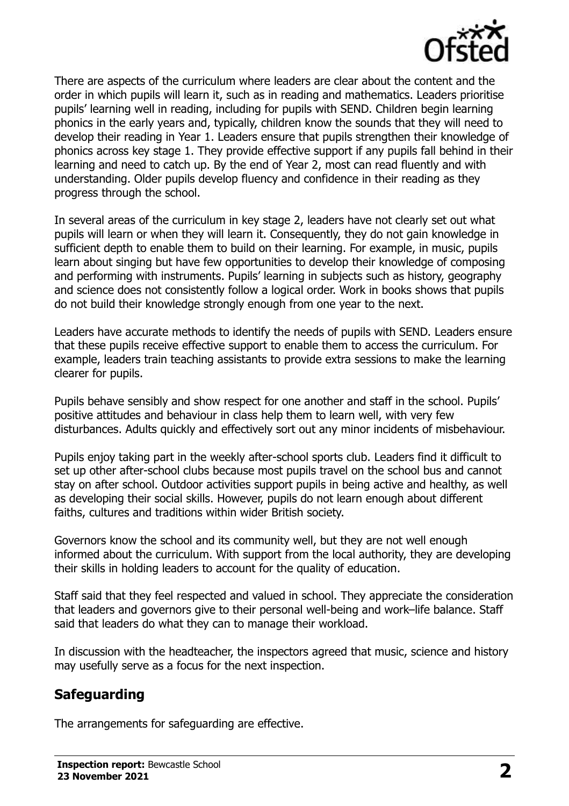

There are aspects of the curriculum where leaders are clear about the content and the order in which pupils will learn it, such as in reading and mathematics. Leaders prioritise pupils' learning well in reading, including for pupils with SEND. Children begin learning phonics in the early years and, typically, children know the sounds that they will need to develop their reading in Year 1. Leaders ensure that pupils strengthen their knowledge of phonics across key stage 1. They provide effective support if any pupils fall behind in their learning and need to catch up. By the end of Year 2, most can read fluently and with understanding. Older pupils develop fluency and confidence in their reading as they progress through the school.

In several areas of the curriculum in key stage 2, leaders have not clearly set out what pupils will learn or when they will learn it. Consequently, they do not gain knowledge in sufficient depth to enable them to build on their learning. For example, in music, pupils learn about singing but have few opportunities to develop their knowledge of composing and performing with instruments. Pupils' learning in subjects such as history, geography and science does not consistently follow a logical order. Work in books shows that pupils do not build their knowledge strongly enough from one year to the next.

Leaders have accurate methods to identify the needs of pupils with SEND. Leaders ensure that these pupils receive effective support to enable them to access the curriculum. For example, leaders train teaching assistants to provide extra sessions to make the learning clearer for pupils.

Pupils behave sensibly and show respect for one another and staff in the school. Pupils' positive attitudes and behaviour in class help them to learn well, with very few disturbances. Adults quickly and effectively sort out any minor incidents of misbehaviour.

Pupils enjoy taking part in the weekly after-school sports club. Leaders find it difficult to set up other after-school clubs because most pupils travel on the school bus and cannot stay on after school. Outdoor activities support pupils in being active and healthy, as well as developing their social skills. However, pupils do not learn enough about different faiths, cultures and traditions within wider British society.

Governors know the school and its community well, but they are not well enough informed about the curriculum. With support from the local authority, they are developing their skills in holding leaders to account for the quality of education.

Staff said that they feel respected and valued in school. They appreciate the consideration that leaders and governors give to their personal well-being and work–life balance. Staff said that leaders do what they can to manage their workload.

In discussion with the headteacher, the inspectors agreed that music, science and history may usefully serve as a focus for the next inspection.

#### **Safeguarding**

The arrangements for safeguarding are effective.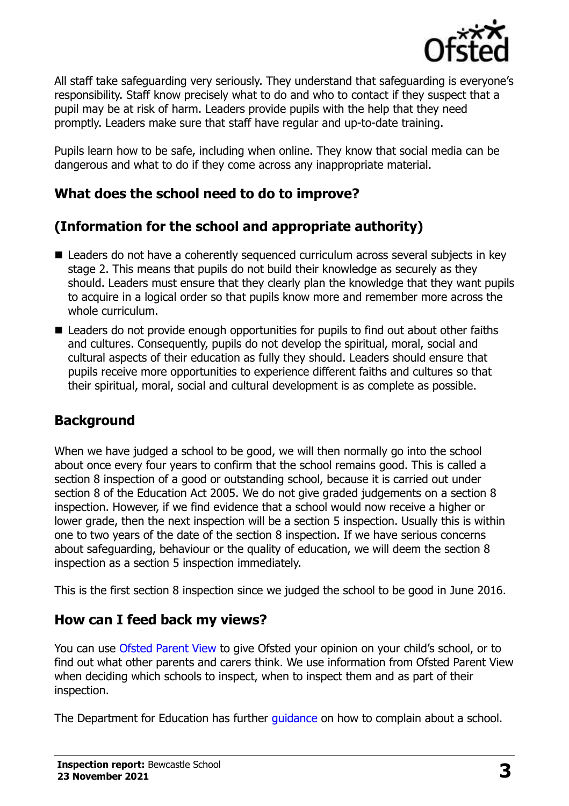

All staff take safeguarding very seriously. They understand that safeguarding is everyone's responsibility. Staff know precisely what to do and who to contact if they suspect that a pupil may be at risk of harm. Leaders provide pupils with the help that they need promptly. Leaders make sure that staff have regular and up-to-date training.

Pupils learn how to be safe, including when online. They know that social media can be dangerous and what to do if they come across any inappropriate material.

# **What does the school need to do to improve?**

# **(Information for the school and appropriate authority)**

- Leaders do not have a coherently sequenced curriculum across several subjects in key stage 2. This means that pupils do not build their knowledge as securely as they should. Leaders must ensure that they clearly plan the knowledge that they want pupils to acquire in a logical order so that pupils know more and remember more across the whole curriculum.
- Leaders do not provide enough opportunities for pupils to find out about other faiths and cultures. Consequently, pupils do not develop the spiritual, moral, social and cultural aspects of their education as fully they should. Leaders should ensure that pupils receive more opportunities to experience different faiths and cultures so that their spiritual, moral, social and cultural development is as complete as possible.

# **Background**

When we have judged a school to be good, we will then normally go into the school about once every four years to confirm that the school remains good. This is called a section 8 inspection of a good or outstanding school, because it is carried out under section 8 of the Education Act 2005. We do not give graded judgements on a section 8 inspection. However, if we find evidence that a school would now receive a higher or lower grade, then the next inspection will be a section 5 inspection. Usually this is within one to two years of the date of the section 8 inspection. If we have serious concerns about safeguarding, behaviour or the quality of education, we will deem the section 8 inspection as a section 5 inspection immediately.

This is the first section 8 inspection since we judged the school to be good in June 2016.

# **How can I feed back my views?**

You can use [Ofsted Parent View](https://parentview.ofsted.gov.uk/) to give Ofsted your opinion on your child's school, or to find out what other parents and carers think. We use information from Ofsted Parent View when deciding which schools to inspect, when to inspect them and as part of their inspection.

The Department for Education has further quidance on how to complain about a school.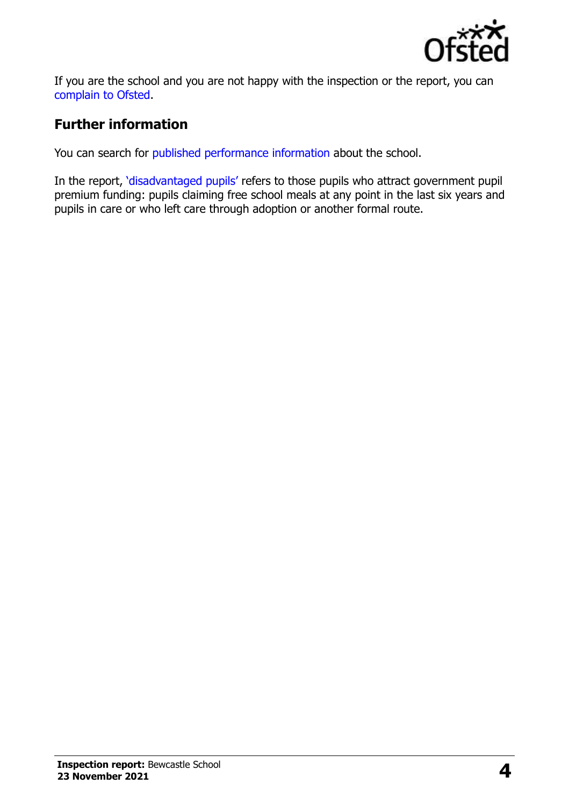

If you are the school and you are not happy with the inspection or the report, you can [complain to Ofsted.](https://www.gov.uk/complain-ofsted-report)

# **Further information**

You can search for [published performance information](http://www.compare-school-performance.service.gov.uk/) about the school.

In the report, '[disadvantaged pupils](http://www.gov.uk/guidance/pupil-premium-information-for-schools-and-alternative-provision-settings)' refers to those pupils who attract government pupil premium funding: pupils claiming free school meals at any point in the last six years and pupils in care or who left care through adoption or another formal route.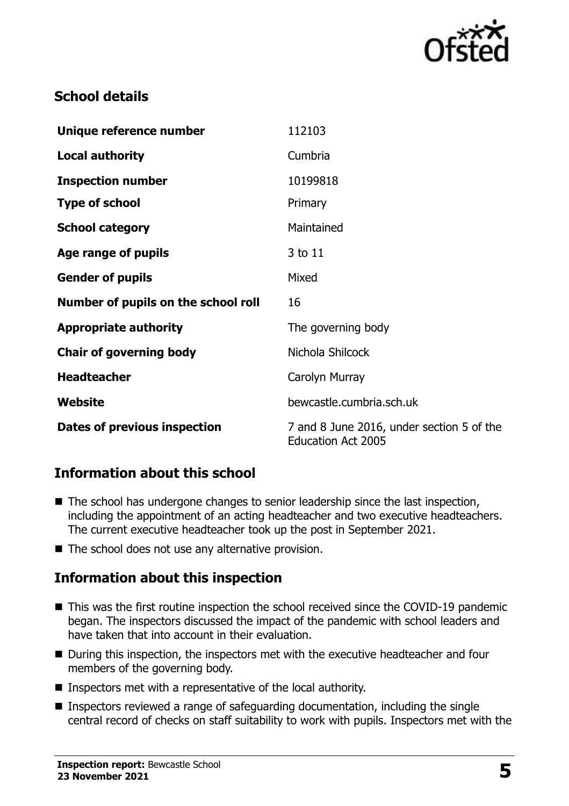

# **School details**

| Unique reference number             | 112103                                                                 |
|-------------------------------------|------------------------------------------------------------------------|
| <b>Local authority</b>              | Cumbria                                                                |
| <b>Inspection number</b>            | 10199818                                                               |
| <b>Type of school</b>               | Primary                                                                |
| <b>School category</b>              | Maintained                                                             |
| <b>Age range of pupils</b>          | 3 to 11                                                                |
| <b>Gender of pupils</b>             | Mixed                                                                  |
| Number of pupils on the school roll | 16                                                                     |
| <b>Appropriate authority</b>        | The governing body                                                     |
| <b>Chair of governing body</b>      | Nichola Shilcock                                                       |
| <b>Headteacher</b>                  | Carolyn Murray                                                         |
| Website                             | bewcastle.cumbria.sch.uk                                               |
| Dates of previous inspection        | 7 and 8 June 2016, under section 5 of the<br><b>Education Act 2005</b> |

# **Information about this school**

- The school has undergone changes to senior leadership since the last inspection, including the appointment of an acting headteacher and two executive headteachers. The current executive headteacher took up the post in September 2021.
- The school does not use any alternative provision.

# **Information about this inspection**

- This was the first routine inspection the school received since the COVID-19 pandemic began. The inspectors discussed the impact of the pandemic with school leaders and have taken that into account in their evaluation.
- During this inspection, the inspectors met with the executive headteacher and four members of the governing body.
- Inspectors met with a representative of the local authority.
- Inspectors reviewed a range of safeguarding documentation, including the single central record of checks on staff suitability to work with pupils. Inspectors met with the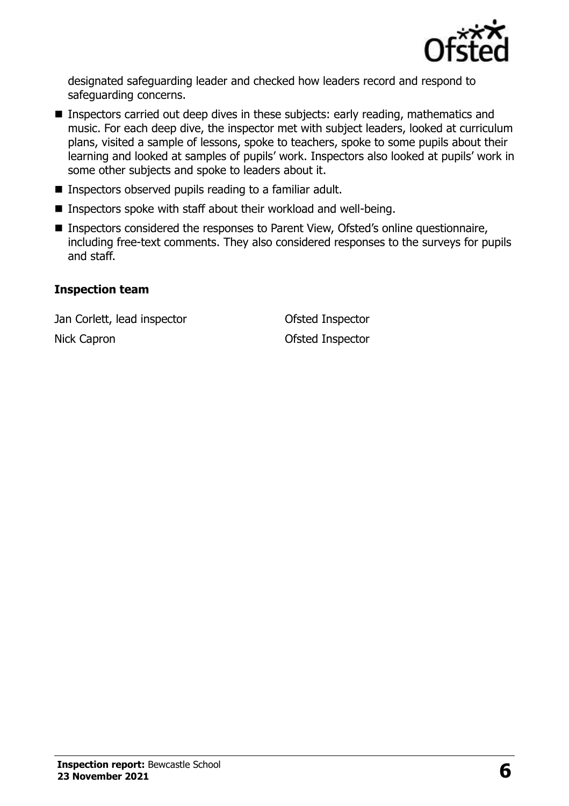

designated safeguarding leader and checked how leaders record and respond to safeguarding concerns.

- Inspectors carried out deep dives in these subjects: early reading, mathematics and music. For each deep dive, the inspector met with subject leaders, looked at curriculum plans, visited a sample of lessons, spoke to teachers, spoke to some pupils about their learning and looked at samples of pupils' work. Inspectors also looked at pupils' work in some other subjects and spoke to leaders about it.
- Inspectors observed pupils reading to a familiar adult.
- Inspectors spoke with staff about their workload and well-being.
- Inspectors considered the responses to Parent View, Ofsted's online questionnaire, including free-text comments. They also considered responses to the surveys for pupils and staff.

#### **Inspection team**

Jan Corlett, lead inspector Ofsted Inspector Nick Capron **Ofsted Inspector**